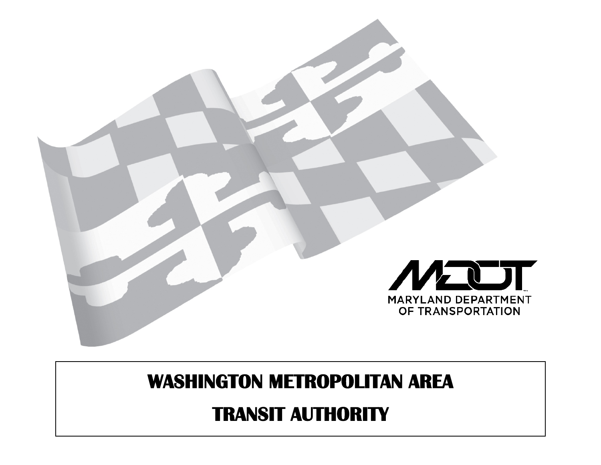

# **WASHINGTON METROPOLITAN AREA**

## **TRANSIT AUTHORITY**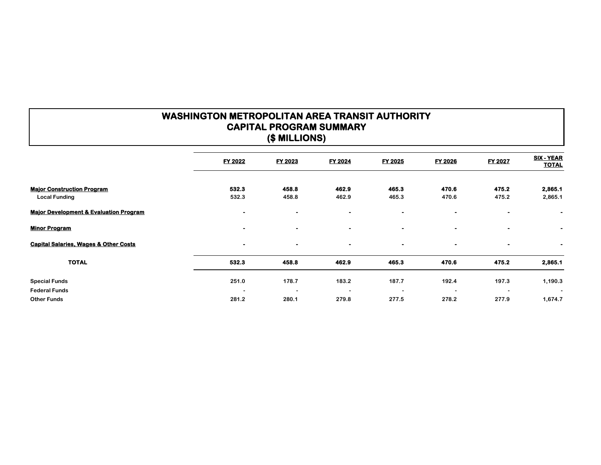### **WASHINGTON METROPOLITAN AREA TRANSIT AUTHORITY CAPITAL PROGRAM SUMMARY (\$ MILLIONS)**

|                                                   | FY 2022        | FY 2023                  | FY 2024                  | FY 2025   | FY 2026        | FY 2027        | SIX - YEAR<br><b>TOTAL</b>   |
|---------------------------------------------------|----------------|--------------------------|--------------------------|-----------|----------------|----------------|------------------------------|
|                                                   |                |                          |                          |           |                |                |                              |
| <b>Major Construction Program</b>                 | 532.3          | 458.8                    | 462.9                    | 465.3     | 470.6          | 475.2          | 2,865.1                      |
| <b>Local Funding</b>                              | 532.3          | 458.8                    | 462.9                    | 465.3     | 470.6          | 475.2          | 2,865.1                      |
| <b>Major Development &amp; Evaluation Program</b> | $\blacksquare$ | $\blacksquare$           | $\blacksquare$           | $\bullet$ | $\bullet$      |                | $\qquad \qquad \blacksquare$ |
| <b>Minor Program</b>                              | ۰              | $\blacksquare$           | $\bullet$                | $\bullet$ | $\blacksquare$ | $\bullet$      | $\bullet$                    |
| <b>Capital Salaries, Wages &amp; Other Costs</b>  | ٠              | $\bullet$                | $\bullet$                | $\bullet$ | $\bullet$      | $\blacksquare$ | $\blacksquare$               |
| <b>TOTAL</b>                                      | 532.3          | 458.8                    | 462.9                    | 465.3     | 470.6          | 475.2          | 2,865.1                      |
| <b>Special Funds</b>                              | 251.0          | 178.7                    | 183.2                    | 187.7     | 192.4          | 197.3          | 1,190.3                      |
| <b>Federal Funds</b>                              | $\overline{a}$ | $\overline{\phantom{0}}$ | $\overline{\phantom{a}}$ |           |                |                | $\overline{\phantom{a}}$     |
| <b>Other Funds</b>                                | 281.2          | 280.1                    | 279.8                    | 277.5     | 278.2          | 277.9          | 1,674.7                      |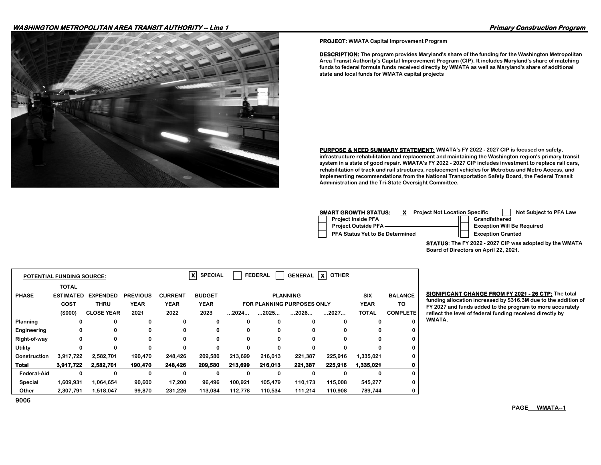#### **WASHINGTON METROPOLITAN AREA TRANSIT AUTHORITY -- Line 1 Primary Construction Program**



#### **PROJECT: WMATA Capital Improvement Program**

**DESCRIPTION: The program provides Maryland's share of the funding for the Washington Metropolitan Area Transit Authority's Capital Improvement Program (CIP). It includes Maryland's share of matching funds to federal formula funds received directly by WMATA as well as Maryland's share of additional state and local funds for WMATA capital projects**

**PURPOSE & NEED SUMMARY STATEMENT: WMATA's FY 2022 - 2027 CIP is focused on safety, infrastructure rehabilitation and replacement and maintaining the Washington region's primary transit system in a state of good repair. WMATA's FY 2022 - 2027 CIP includes investment to replace rail cars, rehabilitation of track and rail structures, replacement vehicles for Metrobus and Metro Access, and implementing recommendations from the National Transportation Safety Board, the Federal Transit Administration and the Tri-State Oversight Committee.**

| SMART GROWTH STATUS:<br><b>Project Not Location Specific</b> | Not Subject to PFA Law            |
|--------------------------------------------------------------|-----------------------------------|
| <b>Project Inside PFA</b>                                    | Grandfathered                     |
| Project Outside PFA-                                         | <b>Exception Will Be Required</b> |
| <b>PFA Status Yet to Be Determined</b>                       | <b>Exception Granted</b>          |

**STATUS: The FY 2022 - 2027 CIP was adopted by the WMATA Board of Directors on April 22, 2021.**

|                 | <b>POTENTIAL FUNDING SOURCE:</b> |                   |                 |                | $\vert x \vert$<br><b>SPECIAL</b> | <b>FEDERAL</b> | <b>OTHER</b><br>XI |                                   |         |             |                 |
|-----------------|----------------------------------|-------------------|-----------------|----------------|-----------------------------------|----------------|--------------------|-----------------------------------|---------|-------------|-----------------|
|                 | <b>TOTAL</b>                     |                   |                 |                |                                   |                |                    |                                   |         |             |                 |
| <b>PHASE</b>    | <b>ESTIMATED</b>                 | <b>EXPENDED</b>   | <b>PREVIOUS</b> | <b>CURRENT</b> | <b>BUDGET</b>                     |                |                    | <b>PLANNING</b>                   |         | <b>SIX</b>  | <b>BALANCE</b>  |
|                 | <b>COST</b>                      | <b>THRU</b>       | <b>YEAR</b>     | <b>YEAR</b>    | <b>YEAR</b>                       |                |                    | <b>FOR PLANNING PURPOSES ONLY</b> |         | <b>YEAR</b> | TO              |
|                 | (\$000)                          | <b>CLOSE YEAR</b> | 2021            | 2022           | 2023                              | 2024           | 2025               | 2026                              | 2027    | TOTAL       | <b>COMPLETE</b> |
| <b>Planning</b> | 0                                | 0                 | 0               | 0              | 0                                 | 0              |                    | 0                                 | 0       |             |                 |
| Engineering     | 0                                | 0                 | 0               | 0              | 0                                 | 0              | o                  | 0                                 | 0       |             |                 |
| Right-of-way    | 0                                | 0                 | 0               | 0              | 0                                 | 0              | 0                  | 0                                 | 0       |             |                 |
| Utility         | 0                                | o                 | 0               | $\Omega$       | $\Omega$                          | $\Omega$       | o                  | 0                                 | 0       |             |                 |
| Construction    | 3,917,722                        | 2,582,701         | 190,470         | 248,426        | 209,580                           | 213.699        | 216,013            | 221.387                           | 225,916 | 1,335,021   |                 |
| <b>Total</b>    | 3,917,722                        | 2,582,701         | 190,470         | 248,426        | 209,580                           | 213,699        | 216,013            | 221,387                           | 225,916 | 1,335,021   |                 |
| Federal-Aid     | 0                                | 0                 | $\Omega$        | $\Omega$       | 0                                 | 0              | $\Omega$           | 0                                 | O       |             | O               |
| <b>Special</b>  | 1,609,931                        | 1,064,654         | 90,600          | 17,200         | 96,496                            | 100,921        | 105,479            | 110,173                           | 115,008 | 545,277     | 0               |
| Other           | 2,307,791                        | 1,518,047         | 99,870          | 231,226        | 113,084                           | 112,778        | 110,534            | 111,214                           | 110,908 | 789,744     |                 |

**BIGNIFICANT CHANGE FROM FY 2021 - 26 CTP:** The total **funding allocation increased by \$316.3M due to the addition of FY 2027 and funds added to the program to more accurately reflect the level of federal funding received directly by WMATA.**

**9006**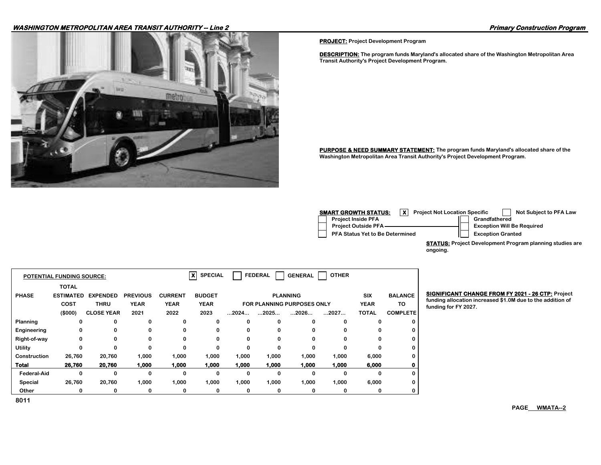#### **WASHINGTON METROPOLITAN AREA TRANSIT AUTHORITY -- Line 2 Primary Construction Program**



**PROJECT: Project Development Program**

**DESCRIPTION: The program funds Maryland's allocated share of the Washington Metropolitan Area Transit Authority's Project Development Program.**

**PURPOSE & NEED SUMMARY STATEMENT: The program funds Maryland's allocated share of the Washington Metropolitan Area Transit Authority's Project Development Program.**

| <b>SMART GROWTH STATUS:</b><br><b>Project Not Location Specific</b> | Not Subject to PFA Law            |
|---------------------------------------------------------------------|-----------------------------------|
| <b>Project Inside PFA</b>                                           | Grandfathered                     |
| <b>Project Outside PFA-</b>                                         | <b>Exception Will Be Required</b> |
| PFA Status Yet to Be Determined                                     | <b>Exception Granted</b>          |
|                                                                     |                                   |

**STATUS: Project Development Program planning studies are ongoing.**

|                | <b>POTENTIAL FUNDING SOURCE:</b> |                   |                 |                | хI<br><b>SPECIAL</b> |                      | <b>FEDERAL</b> | <b>GENERAL</b>                    | <b>OTHER</b> |              |                 |
|----------------|----------------------------------|-------------------|-----------------|----------------|----------------------|----------------------|----------------|-----------------------------------|--------------|--------------|-----------------|
|                | <b>TOTAL</b>                     |                   |                 |                |                      |                      |                |                                   |              |              |                 |
| <b>PHASE</b>   | <b>ESTIMATED</b>                 | <b>EXPENDED</b>   | <b>PREVIOUS</b> | <b>CURRENT</b> | <b>BUDGET</b>        |                      |                | <b>PLANNING</b>                   |              | <b>SIX</b>   | <b>BALANCE</b>  |
|                | <b>COST</b>                      | <b>THRU</b>       | <b>YEAR</b>     | <b>YEAR</b>    | <b>YEAR</b>          |                      |                | <b>FOR PLANNING PURPOSES ONLY</b> |              | <b>YEAR</b>  | TO              |
|                | (\$000)                          | <b>CLOSE YEAR</b> | 2021            | 2022           | 2023                 | $\dots$ 2024 $\dots$ | 2025           | 2026                              | 2027         | <b>TOTAL</b> | <b>COMPLETE</b> |
| Planning       | 0                                | 0                 | 0               | 0              | 0                    | 0                    | 0              | 0                                 | 0            | 0            |                 |
| Engineering    | 0                                | 0                 | 0               | 0              | 0                    | 0                    | $\Omega$       | 0                                 |              | $\Omega$     |                 |
| Right-of-way   | 0                                | 0                 | $\Omega$        | 0              | 0                    | 0                    | 0              | 0                                 | 0            | 0            |                 |
| <b>Utility</b> | 0                                | 0                 | 0               | 0              | 0                    | 0                    | 0              | 0                                 | 0            | 0            |                 |
| Construction   | 26,760                           | 20,760            | 1,000           | 1,000          | 1,000                | 1,000                | 1,000          | 1,000                             | 1,000        | 6,000        |                 |
| <b>Total</b>   | 26,760                           | 20,760            | 1,000           | 1,000          | 1,000                | 1,000                | 1,000          | 1,000                             | 1,000        | 6,000        |                 |
| Federal-Aid    | 0                                | 0                 | 0               | 0              | 0                    | 0                    | $\bf{0}$       | 0                                 | 0            | 0            |                 |
| Special        | 26,760                           | 20,760            | 1.000           | 1.000          | 1,000                | 1.000                | 1.000          | 1.000                             | 1.000        | 6.000        |                 |
| Other          | 0                                | 0                 | 0               | 0              | 0                    | 0                    | 0              | 0                                 | 0            | 0            |                 |

**BIGNIFICANT CHANGE FROM FY 2021 - 26 CTP: Project** 

**funding allocation increased \$1.0M due to the addition of funding for FY 2027.**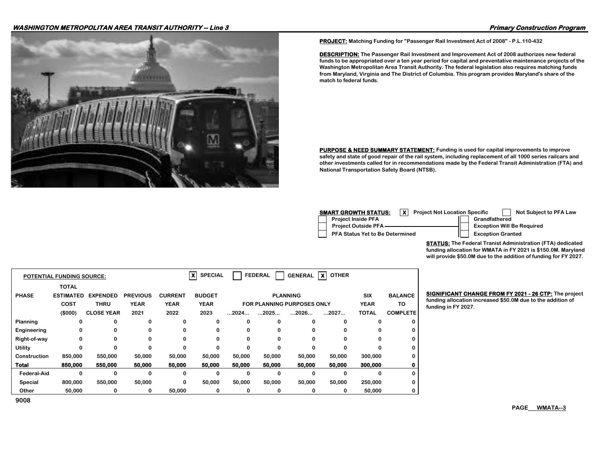#### **WASHINGTON METROPOLITAN AREA TRANSIT AUTHORITY -- Line 3 Primary Construction Program**



**PROJECT: Matching Funding for "Passenger Rail Investment Act of 2008" - P.L.110-432**

**DESCRIPTION: The Passenger Rail Investment and Improvement Act of 2008 authorizes new federal funds to be appropriated over a ten year period for capital and preventative maintenance projects of the Washington Metropolitan Area Transit Authority. The federal legislation also requires matching funds from Maryland, Virginia and The District of Columbia. This program provides Maryland's share of the match to federal funds.**

**PURPOSE & NEED SUMMARY STATEMENT:** Funding is used for capital improvements to improve **safety and state of good repair of the rail system, including replacement of all 1000 series railcars and other investments called for in recommendations made by the Federal Transit Administration (FTA) and National Transportation Safety Board (NTSB).**

| <b>SMART GROWTH STATUS:</b><br><b>Project Not Location Specific</b> | Not Subject to PFA Law            |
|---------------------------------------------------------------------|-----------------------------------|
| <b>Project Inside PFA</b>                                           | Grandfathered                     |
| <b>Project Outside PFA-</b>                                         | <b>Exception Will Be Required</b> |
| PFA Status Yet to Be Determined                                     | <b>Exception Granted</b>          |

**STATUS: The Federal Tranist Administration (FTA) dedicated funding allocation for WMATA in FY 2021 is \$150.0M. Maryland will provide \$50.0M due to the addition of funding for FY 2027.**

|              | <b>POTENTIAL FUNDING SOURCE:</b> |                   |                 |                | x<br><b>SPECIAL</b> |          | <b>FEDERAL</b> | <b>GENERAL</b>                    | $\boldsymbol{\mathsf{x}}$<br><b>OTHER</b> |              |                 |
|--------------|----------------------------------|-------------------|-----------------|----------------|---------------------|----------|----------------|-----------------------------------|-------------------------------------------|--------------|-----------------|
|              | <b>TOTAL</b>                     |                   |                 |                |                     |          |                |                                   |                                           |              |                 |
| <b>PHASE</b> | <b>ESTIMATED</b>                 | <b>EXPENDED</b>   | <b>PREVIOUS</b> | <b>CURRENT</b> | <b>BUDGET</b>       |          |                | <b>PLANNING</b>                   |                                           | <b>SIX</b>   | <b>BALANCE</b>  |
|              | COST                             | <b>THRU</b>       | <b>YEAR</b>     | <b>YEAR</b>    | <b>YEAR</b>         |          |                | <b>FOR PLANNING PURPOSES ONLY</b> |                                           | <b>YEAR</b>  | TO              |
|              | (\$000)                          | <b>CLOSE YEAR</b> | 2021            | 2022           | 2023                | 2024     | 2025           | 2026                              | 2027                                      | <b>TOTAL</b> | <b>COMPLETE</b> |
| Planning     | 0                                | 0                 | 0               | 0              | 0                   | 0        |                | 0                                 | 0                                         | ŋ            |                 |
| Engineering  | 0                                | $\Omega$          | $\Omega$        | $\Omega$       | 0                   | 0        |                | 0                                 | <sup>0</sup>                              | ŋ            |                 |
| Right-of-way | 0                                | $\Omega$          | $\Omega$        | $\Omega$       | 0                   | $\Omega$ |                | $\Omega$                          | 0                                         | 0            |                 |
| Utility      | 0                                |                   | 0               | 0              | 0                   | 0        |                | 0                                 | U                                         |              |                 |
| Construction | 850,000                          | 550,000           | 50,000          | 50,000         | 50,000              | 50,000   | 50,000         | 50,000                            | 50,000                                    | 300,000      |                 |
| Total        | 850,000                          | 550,000           | 50,000          | 50,000         | 50,000              | 50,000   | 50,000         | 50,000                            | 50,000                                    | 300,000      |                 |
| Federal-Aid  | 0                                | $\Omega$          | 0               | 0              | $\Omega$            | $\bf{0}$ |                | $\Omega$                          | 0                                         | 0            |                 |
| Special      | 800,000                          | 550,000           | 50,000          | 0              | 50,000              | 50,000   | 50,000         | 50,000                            | 50,000                                    | 250,000      |                 |
| Other        | 50,000                           | 0                 | 0               | 50,000         | 0                   | 0        | 0              | 0                                 | 0                                         | 50,000       |                 |

**BIGNIFICANT CHANGE FROM FY 2021 - 26 CTP:** The project **funding allocation increased \$50.0M due to the addition of funding in FY 2027.** 

**PAGE WMATA--3**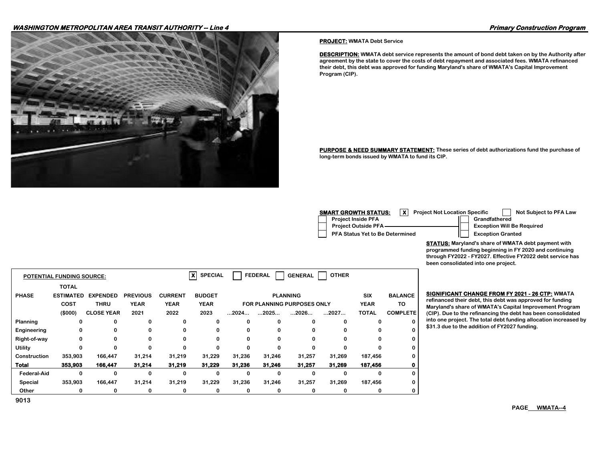#### **WASHINGTON METROPOLITAN AREA TRANSIT AUTHORITY -- Line 4 Primary Construction Program**



#### **PROJECT: WMATA Debt Service**

**DESCRIPTION: WMATA debt service represents the amount of bond debt taken on by the Authority after agreement by the state to cover the costs of debt repayment and associated fees. WMATA refinanced their debt, this debt was approved for funding Maryland's share of WMATA's Capital Improvement Program (CIP).**

**PURPOSE & NEED SUMMARY STATEMENT: These series of debt authorizations fund the purchase of long-term bonds issued by WMATA to fund its CIP.**

| <b>SMART GROWTH STATUS:</b><br><b>Project Not Location Specific</b> | Not Subject to PFA Law            |
|---------------------------------------------------------------------|-----------------------------------|
| <b>Project Inside PFA</b>                                           | Grandfathered                     |
| Project Outside PFA-                                                | <b>Exception Will Be Required</b> |
| PFA Status Yet to Be Determined                                     | <b>Exception Granted</b>          |

**STATUS: Maryland's share of WMATA debt payment with programmed funding beginning in FY 2020 and continuing through FY2022 - FY2027. Effective FY2022 debt service has been consolidated into one project.**

|                    | <b>POTENTIAL FUNDING SOURCE:</b> |                   |                 |                | $\boldsymbol{x}$<br><b>SPECIAL</b> |                      | <b>FEDERAL</b> | <b>GENERAL</b>                    | <b>OTHER</b> |              |                 |
|--------------------|----------------------------------|-------------------|-----------------|----------------|------------------------------------|----------------------|----------------|-----------------------------------|--------------|--------------|-----------------|
|                    | <b>TOTAL</b>                     |                   |                 |                |                                    |                      |                |                                   |              |              |                 |
| <b>PHASE</b>       | <b>ESTIMATED</b>                 | <b>EXPENDED</b>   | <b>PREVIOUS</b> | <b>CURRENT</b> | <b>BUDGET</b>                      |                      |                | <b>PLANNING</b>                   |              | <b>SIX</b>   | <b>BALANCE</b>  |
|                    | <b>COST</b>                      | <b>THRU</b>       | <b>YEAR</b>     | <b>YEAR</b>    | <b>YEAR</b>                        |                      |                | <b>FOR PLANNING PURPOSES ONLY</b> |              | <b>YEAR</b>  | TO              |
|                    | (\$000)                          | <b>CLOSE YEAR</b> | 2021            | 2022           | 2023                               | $\dots$ 2024 $\dots$ | 2025           | 2026                              | 2027         | <b>TOTAL</b> | <b>COMPLETE</b> |
| Planning           | 0                                | 0                 | 0               | 0              | 0                                  |                      | 0              |                                   | ŋ            | 0            |                 |
| Engineering        | 0                                | 0                 | 0               | $\Omega$       | 0                                  |                      | 0              | 0                                 | ŋ            | 0            | 0               |
| Right-of-way       | 0                                | 0                 | 0               | 0              | 0                                  |                      | 0              | 0                                 | 0            | 0            |                 |
| Utility            | 0                                | 0                 | $\Omega$        | $\Omega$       | U                                  |                      | $\Omega$       | 0                                 | 0            | 0            |                 |
| Construction       | 353,903                          | 166,447           | 31,214          | 31,219         | 31,229                             | 31,236               | 31,246         | 31,257                            | 31,269       | 187,456      |                 |
| <b>Total</b>       | 353,903                          | 166,447           | 31,214          | 31,219         | 31,229                             | 31,236               | 31,246         | 31,257                            | 31,269       | 187,456      |                 |
| <b>Federal-Aid</b> | 0                                | 0                 | 0               | $\Omega$       | n                                  |                      | 0              | ŋ                                 | ŋ            | $\Omega$     | $\Omega$        |
| Special            | 353,903                          | 166,447           | 31,214          | 31,219         | 31,229                             | 31,236               | 31,246         | 31,257                            | 31,269       | 187,456      | 0               |
| Other              | 0                                | 0                 | 0               | 0              | 0                                  | 0                    | 0              | 0                                 | 0            | 0            |                 |

#### **BIGNIFICANT CHANGE FROM FY 2021 - 26 CTP: WMATA**

**refinanced their debt, this debt was approved for funding Maryland's share of WMATA's Capital Improvement Program (CIP). Due to the refinancing the debt has been consolidated into one project. The total debt funding allocation increased by \$31.3 due to the addition of FY2027 funding.**

**PAGE WMATA--4**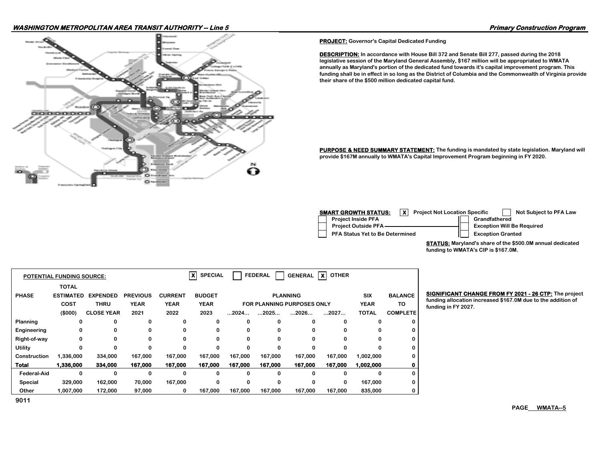#### **WASHINGTON METROPOLITAN AREA TRANSIT AUTHORITY -- Line 5 Primary Construction Program**



**PROJECT: Governor's Capital Dedicated Funding**

**DESCRIPTION: In accordance with House Bill 372 and Senate Bill 277, passed during the 2018 legislative session of the Maryland General Assembly, \$167 million will be appropriated to WMATA annually as Maryland's portion of the dedicated fund towards it's capital improvement program. This funding shall be in effect in so long as the District of Columbia and the Commonwealth of Virginia provide their share of the \$500 million dedicated capital fund.**

**PURPOSE & NEED SUMMARY STATEMENT:** The funding is mandated by state legislation. Maryland will **provide \$167M annually to WMATA's Capital Improvement Program beginning in FY 2020.**

| <b>SMART GROWTH STATUS:</b><br><b>Project Not Location Specific</b> | Not Subject to PFA Law            |
|---------------------------------------------------------------------|-----------------------------------|
| <b>Project Inside PFA</b>                                           | Grandfathered                     |
| Project Outside PFA                                                 | <b>Exception Will Be Required</b> |
| <b>PFA Status Yet to Be Determined</b>                              | <b>Exception Granted</b>          |

**STATUS: Maryland's share of the \$500.0M annual dedicated funding to WMATA's CIP is \$167.0M.**

|                    | <b>POTENTIAL FUNDING SOURCE:</b> |                   |                 |                | ×<br><b>SPECIAL</b> |         | <b>FEDERAL</b> | <b>GENERAL</b>                    | <b>OTHER</b><br>$\boldsymbol{x}$ |              |                 |
|--------------------|----------------------------------|-------------------|-----------------|----------------|---------------------|---------|----------------|-----------------------------------|----------------------------------|--------------|-----------------|
|                    | <b>TOTAL</b>                     |                   |                 |                |                     |         |                |                                   |                                  |              |                 |
| <b>PHASE</b>       | <b>ESTIMATED</b>                 | <b>EXPENDED</b>   | <b>PREVIOUS</b> | <b>CURRENT</b> | <b>BUDGET</b>       |         |                | <b>PLANNING</b>                   |                                  | <b>SIX</b>   | <b>BALANCE</b>  |
|                    | COST                             | <b>THRU</b>       | <b>YEAR</b>     | <b>YEAR</b>    | <b>YEAR</b>         |         |                | <b>FOR PLANNING PURPOSES ONLY</b> |                                  | <b>YEAR</b>  | то              |
|                    | (\$000)                          | <b>CLOSE YEAR</b> | 2021            | 2022           | 2023                | 2024    | 2025           | 2026                              | 2027                             | <b>TOTAL</b> | <b>COMPLETE</b> |
| Planning           | 0                                | 0                 | 0               | 0              | 0                   | 0       | 0              | 0                                 | $\Omega$                         |              |                 |
| Engineering        | 0                                | 0                 | 0               | 0              | 0                   | 0       | 0              | 0                                 | 0                                | 0            |                 |
| Right-of-way       | 0                                | 0                 | $\Omega$        | $\Omega$       | 0                   | 0       | $\Omega$       | 0                                 | 0                                | 0            |                 |
| <b>Utility</b>     |                                  | 0                 | 0               | 0              | 0                   | 0       | 0              |                                   | 0                                |              |                 |
| Construction       | 1,336,000                        | 334,000           | 167,000         | 167,000        | 167,000             | 167,000 | 167,000        | 167,000                           | 167,000                          | 1,002,000    |                 |
| <b>Total</b>       | 1,336,000                        | 334,000           | 167,000         | 167,000        | 167,000             | 167,000 | 167,000        | 167,000                           | 167,000                          | 1,002,000    |                 |
| <b>Federal-Aid</b> | 0                                | 0                 | 0               | 0              | 0                   | 0       | 0              |                                   | 0                                | 0            |                 |
| Special            | 329,000                          | 162,000           | 70.000          | 167.000        | 0                   | 0       | 0              | 0                                 | 0                                | 167,000      |                 |
| Other              | 1,007,000                        | 172,000           | 97,000          | 0              | 167,000             | 167,000 | 167,000        | 167,000                           | 167,000                          | 835,000      |                 |

**BIGNIFICANT CHANGE FROM FY 2021 - 26 CTP:** The project **funding allocation increased \$167.0M due to the addition of funding in FY 2027.**